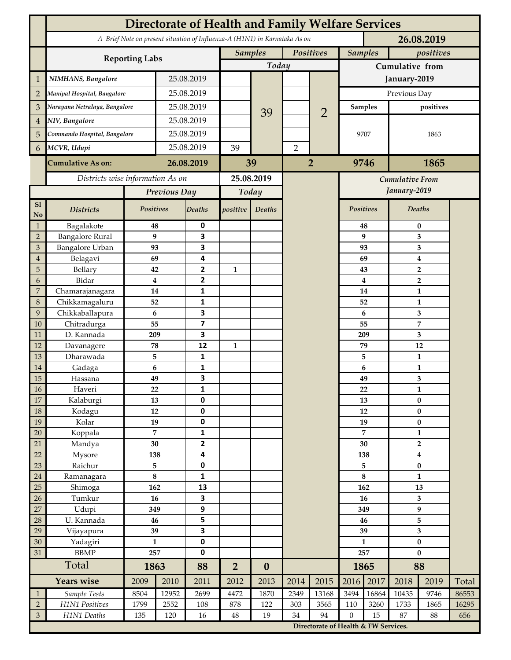|                                  | <b>Directorate of Health and Family Welfare Services</b>                                 |              |                |                                           |                |                             |                |                                      |                     |                             |                                    |      |       |  |
|----------------------------------|------------------------------------------------------------------------------------------|--------------|----------------|-------------------------------------------|----------------|-----------------------------|----------------|--------------------------------------|---------------------|-----------------------------|------------------------------------|------|-------|--|
|                                  | A Brief Note on present situation of Influenza-A (H1N1) in Karnataka As on<br>26.08.2019 |              |                |                                           |                |                             |                |                                      |                     |                             |                                    |      |       |  |
|                                  | <b>Reporting Labs</b>                                                                    |              |                |                                           |                | <b>Samples</b><br>Positives |                |                                      |                     | <b>Samples</b><br>positives |                                    |      |       |  |
|                                  |                                                                                          | Today        |                |                                           |                | Cumulative from             |                |                                      |                     |                             |                                    |      |       |  |
| $\mathbf 1$                      | NIMHANS, Bangalore                                                                       | 25.08.2019   |                |                                           |                |                             |                | January-2019                         |                     |                             |                                    |      |       |  |
| $\overline{2}$                   | Manipal Hospital, Bangalore                                                              |              | 25.08.2019     |                                           |                |                             |                |                                      | Previous Day        |                             |                                    |      |       |  |
| 3                                | Narayana Netralaya, Bangalore                                                            |              |                | 25.08.2019                                |                |                             |                |                                      |                     | <b>Samples</b>              | positives                          |      |       |  |
| $\overline{4}$                   | NIV, Bangalore                                                                           |              | 25.08.2019     |                                           |                | 39                          |                | $\overline{2}$                       |                     |                             |                                    |      |       |  |
| 5                                | Commando Hospital, Bangalore                                                             |              | 25.08.2019     |                                           |                |                             |                |                                      | 9707                |                             | 1863                               |      |       |  |
| 6                                | MCVR, Udupi                                                                              |              | 25.08.2019     |                                           | 39             |                             | $\overline{2}$ |                                      |                     |                             |                                    |      |       |  |
|                                  | <b>Cumulative As on:</b>                                                                 | 26.08.2019   |                |                                           | 39             |                             | $\overline{2}$ | 1865<br>9746                         |                     |                             |                                    |      |       |  |
|                                  | Districts wise information As on                                                         |              |                | 25.08.2019                                |                |                             |                | Cumulative From                      |                     |                             |                                    |      |       |  |
|                                  |                                                                                          | Previous Day |                | Today                                     |                |                             |                |                                      | January-2019        |                             |                                    |      |       |  |
| S1                               |                                                                                          | Positives    |                | Deaths                                    |                |                             |                |                                      | Positives<br>Deaths |                             |                                    |      |       |  |
| No                               | <b>Districts</b>                                                                         |              |                |                                           | positive       | Deaths                      |                |                                      |                     |                             |                                    |      |       |  |
| $\mathbf{1}$                     | Bagalakote                                                                               | 48           |                | 0                                         |                |                             |                |                                      |                     | 48                          | 0                                  |      |       |  |
| $\overline{2}$<br>$\mathfrak{Z}$ | <b>Bangalore Rural</b><br>Bangalore Urban                                                | 93           | 9              | $\overline{\mathbf{3}}$<br>3              |                |                             |                |                                      |                     | 9<br>93                     | 3<br>3                             |      |       |  |
| $\overline{4}$                   | Belagavi                                                                                 | 69           |                | 4                                         |                |                             |                |                                      |                     | 69                          | 4                                  |      |       |  |
| 5                                | Bellary                                                                                  | 42           |                | $\overline{2}$                            | $\mathbf{1}$   |                             |                |                                      |                     | 43                          | $\overline{2}$                     |      |       |  |
| 6                                | Bidar                                                                                    |              | $\bf{4}$       | $\mathbf{2}$                              |                |                             |                |                                      |                     | $\overline{\mathbf{4}}$     | $\overline{2}$                     |      |       |  |
| $\boldsymbol{7}$                 | Chamarajanagara                                                                          | 14           |                | 1                                         |                |                             |                |                                      |                     | 14                          | $\mathbf{1}$                       |      |       |  |
| $\,8\,$                          | Chikkamagaluru                                                                           | 52           |                | 1                                         |                |                             |                |                                      |                     | 52                          |                                    | 1    |       |  |
| 9                                | Chikkaballapura                                                                          | 6            |                | 3                                         |                |                             |                |                                      |                     | 6                           |                                    | 3    |       |  |
| 10                               | Chitradurga                                                                              | 55           |                | $\overline{\mathbf{z}}$                   |                |                             |                |                                      |                     | 55                          |                                    | 7    |       |  |
| 11                               | D. Kannada                                                                               | 209          |                | 3                                         |                |                             |                |                                      |                     | 209                         | 3                                  |      |       |  |
| 12                               | Davanagere                                                                               | 78           |                | 12                                        | 1              |                             |                |                                      |                     | 79                          | 12                                 |      |       |  |
| 13                               | Dharawada                                                                                | 5            |                | $\mathbf{1}$                              |                |                             |                |                                      |                     | 5                           | $\mathbf{1}$                       |      |       |  |
| 14                               | Gadaga                                                                                   | 6            |                | 1                                         |                |                             |                |                                      |                     | 6                           | $\mathbf{1}$                       |      |       |  |
| 15                               | Hassana                                                                                  | 49           |                | 3                                         |                |                             |                |                                      |                     | 49                          | 3                                  |      |       |  |
| $16\,$                           | Haveri                                                                                   | 22           |                | 1                                         |                |                             |                |                                      |                     | 22                          | $\mathbf{1}$                       |      |       |  |
| $17\,$                           | Kalaburgi                                                                                | 13           |                | $\mathbf 0$                               |                |                             |                |                                      |                     | 13                          | $\bf{0}$                           |      |       |  |
| $18\,$                           | Kodagu                                                                                   | $12\,$       |                | $\pmb{0}$                                 |                |                             |                |                                      | 12                  |                             | $\bf{0}$                           |      |       |  |
| 19                               | Kolar                                                                                    | 19           |                | $\pmb{0}$                                 |                |                             |                |                                      | 19                  |                             | $\pmb{0}$                          |      |       |  |
| $20\,$                           | Koppala                                                                                  |              | $\overline{7}$ | $\mathbf{1}$                              |                |                             |                |                                      | $\overline{7}$      |                             | $\mathbf{1}$                       |      |       |  |
| 21                               | Mandya                                                                                   | 30           |                | $\overline{2}$<br>$\overline{\mathbf{4}}$ |                |                             |                |                                      | 30<br>138           |                             | $\overline{2}$<br>$\boldsymbol{4}$ |      |       |  |
| 22<br>23                         | Mysore<br>Raichur                                                                        | 138<br>5     |                | $\pmb{0}$                                 |                |                             |                |                                      | 5                   |                             | $\pmb{0}$                          |      |       |  |
| $24\,$                           | Ramanagara                                                                               | $\bf 8$      |                | $\mathbf 1$                               |                |                             |                |                                      | $\bf 8$             |                             | $\mathbf{1}$                       |      |       |  |
| 25                               | Shimoga                                                                                  | 162          |                | 13                                        |                |                             |                |                                      | 162                 |                             | 13                                 |      |       |  |
| 26                               | Tumkur                                                                                   | 16           |                | 3                                         |                |                             |                |                                      | 16                  |                             | 3                                  |      |       |  |
| $27\,$                           | Udupi                                                                                    | 349          |                | $\boldsymbol{9}$                          |                |                             |                |                                      | 349                 |                             | 9                                  |      |       |  |
| 28                               | U. Kannada                                                                               | 46           |                | 5                                         |                |                             |                |                                      | 46                  |                             | 5                                  |      |       |  |
| 29                               | Vijayapura                                                                               | 39           |                | $\overline{\mathbf{3}}$                   |                |                             |                |                                      | 39                  |                             | 3                                  |      |       |  |
| $30\,$                           | Yadagiri                                                                                 | $\mathbf{1}$ |                | $\pmb{0}$                                 |                |                             |                |                                      | $\mathbf{1}$        |                             | $\pmb{0}$                          |      |       |  |
| 31                               | <b>BBMP</b>                                                                              |              | 257            |                                           |                |                             |                |                                      | 257                 |                             | $\bf{0}$                           |      |       |  |
|                                  | Total                                                                                    |              | 1863           |                                           | $\overline{2}$ | $\boldsymbol{0}$            |                |                                      | 1865                |                             | 88                                 |      |       |  |
|                                  | <b>Years wise</b>                                                                        | 2009         | 2010           | 2011                                      | 2012           | 2013                        | 2014           | 2015                                 | 2016                | 2017                        | 2018                               | 2019 | Total |  |
| $\mathbf{1}$                     | Sample Tests                                                                             | 8504         | 12952          | 2699                                      | 4472           | 1870                        | 2349           | 13168                                | 3494                | 16864                       | 10435                              | 9746 | 86553 |  |
| $\sqrt{2}$                       | H1N1 Positives                                                                           | 1799         | 2552           | 108                                       | 878            | 122                         | 303            | 3565                                 | 110                 | 3260                        | 1733                               | 1865 | 16295 |  |
| $\mathfrak{Z}$                   | H1N1 Deaths                                                                              | 135          | 120            | 16                                        | 48             | 19                          | 34             | 94                                   | $\boldsymbol{0}$    | 15                          | 87                                 | 88   | 656   |  |
|                                  |                                                                                          |              |                |                                           |                |                             |                | Directorate of Health & FW Services. |                     |                             |                                    |      |       |  |